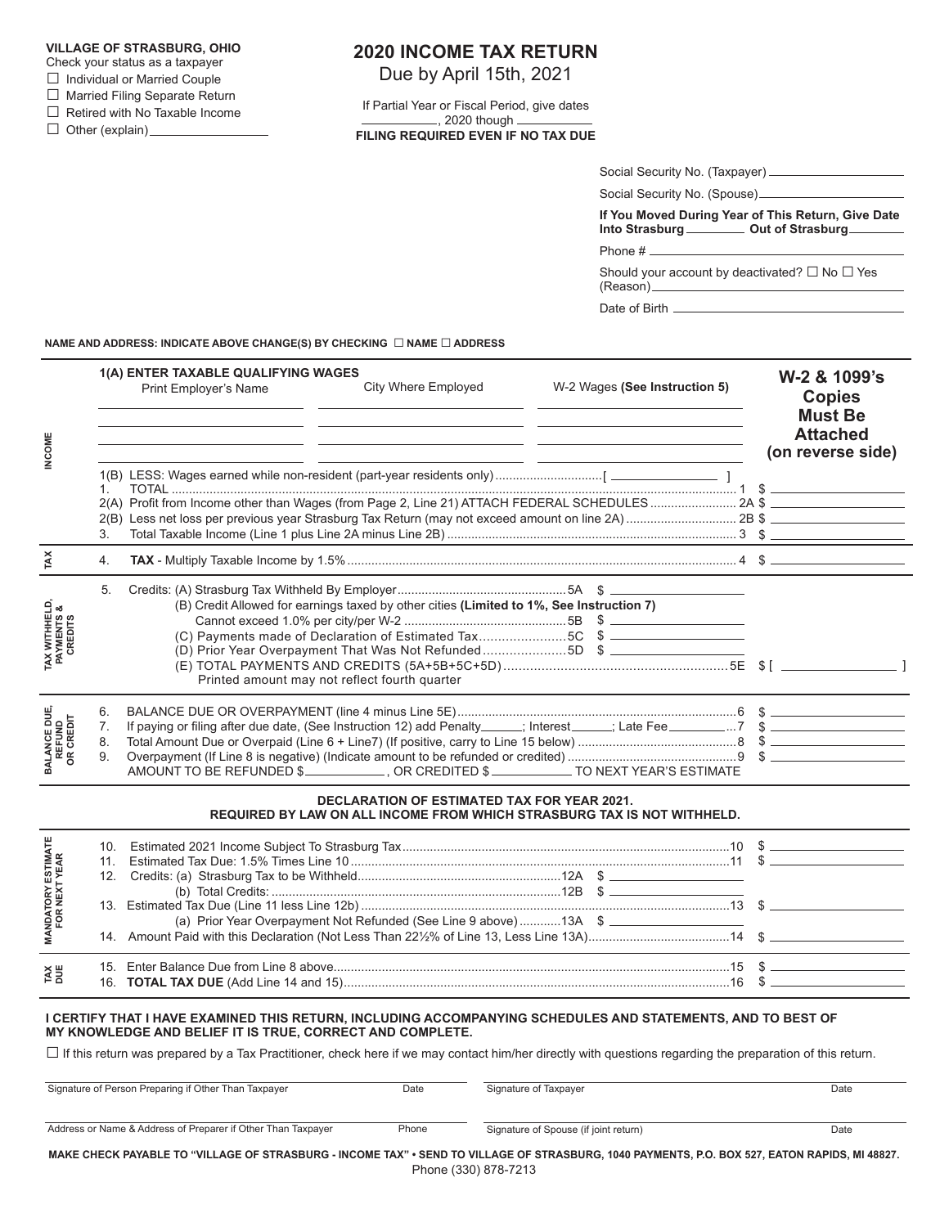#### **VILLAGE OF STRASBURG, OHIO**

- Check your status as a taxpayer
- □ Individual or Married Couple
- □ Married Filing Separate Return

 $\Box$  Retired with No Taxable Income

 $\Box$  Other (explain)  $\Box$ 

# **2020 INCOME TAX RETURN**

Due by April 15th, 2021

If Partial Year or Fiscal Period, give dates , 2020 though **FILING REQUIRED EVEN IF NO TAX DUE**

| Social Security No. (Taxpayer) |  |
|--------------------------------|--|
| Social Security No. (Spouse).  |  |

**If You Moved During Year of This Return, Give Date** Into Strasburg **COUT COUT COUT COUT COUPLE COUPLE COUPLE COUPLE COUPLE COUPLE COUPLE COUPLE COUPLE COUPLE COUPLE** 

Phone #

Should your account by deactivated?  $\square$  No  $\square$  Yes (Reason)

Date of Birth

**NAME AND ADDRESS: INDICATE ABOVE CHANGE(S) BY CHECKING** □ **NAME** □ **ADDRESS**

| <b>NCOME</b>                                        |                      | 1(A) ENTER TAXABLE QUALIFYING WAGES<br>Print Employer's Name | City Where Employed<br><u> 1989 - Andrea Santa Alemania, amerikana amerikana amerikana amerikana amerikana amerikana amerikana amerikana</u>                                                                                                                                                                                                 | W-2 Wages (See Instruction 5) |  | W-2 & 1099's<br><b>Copies</b><br><b>Must Be</b><br><b>Attached</b><br>(on reverse side) |  |
|-----------------------------------------------------|----------------------|--------------------------------------------------------------|----------------------------------------------------------------------------------------------------------------------------------------------------------------------------------------------------------------------------------------------------------------------------------------------------------------------------------------------|-------------------------------|--|-----------------------------------------------------------------------------------------|--|
|                                                     | 1<br>3.              |                                                              | the control of the control of the control of the control of the control of the control of                                                                                                                                                                                                                                                    |                               |  |                                                                                         |  |
| TAX                                                 | 4.                   |                                                              |                                                                                                                                                                                                                                                                                                                                              |                               |  |                                                                                         |  |
| <b>TAX WITHHELD,<br/>PAYMENTS &amp;<br/>CREDITS</b> | 5.                   |                                                              | (B) Credit Allowed for earnings taxed by other cities (Limited to 1%, See Instruction 7)<br>(C) Payments made of Declaration of Estimated Tax5C \$<br>(D) Prior Year Overpayment That Was Not Refunded5D \$<br>Printed amount may not reflect fourth quarter                                                                                 |                               |  |                                                                                         |  |
| <b>BALANCE DUE,<br/>REFUND<br/>OR CREDIT</b>        | 6.<br>7.<br>8.<br>9. |                                                              | AMOUNT TO BE REFUNDED \$_____________, OR CREDITED \$___________TO NEXT YEAR'S ESTIMATE                                                                                                                                                                                                                                                      |                               |  |                                                                                         |  |
|                                                     |                      |                                                              | <b>DECLARATION OF ESTIMATED TAX FOR YEAR 2021.</b><br>REQUIRED BY LAW ON ALL INCOME FROM WHICH STRASBURG TAX IS NOT WITHHELD.                                                                                                                                                                                                                |                               |  |                                                                                         |  |
| <b>MANDATORY ESTIMATE<br/>FOR NEXT YEAR</b>         |                      |                                                              | (a) Prior Year Overpayment Not Refunded (See Line 9 above) 13A \$                                                                                                                                                                                                                                                                            |                               |  |                                                                                         |  |
| <b>TAX</b>                                          |                      |                                                              |                                                                                                                                                                                                                                                                                                                                              |                               |  |                                                                                         |  |
|                                                     |                      | MY KNOWLEDGE AND BELIEF IT IS TRUE, CORRECT AND COMPLETE.    | I CERTIFY THAT I HAVE EXAMINED THIS RETURN, INCLUDING ACCOMPANYING SCHEDULES AND STATEMENTS, AND TO BEST OF<br>The distribution of the state of the December of the state of the state of the distribution of the state of the state of the state of the state of the state of the state of the state of the state of the state of the state |                               |  |                                                                                         |  |

 $\Box$  If this return was prepared by a Tax Practitioner, check here if we may contact him/her directly with questions regarding the preparation of this return.

| Signature of Person Preparing if Other Than Taxpayer                                                                                           | Date  | Signature of Taxpayer                 | Date |  |
|------------------------------------------------------------------------------------------------------------------------------------------------|-------|---------------------------------------|------|--|
| Address or Name & Address of Preparer if Other Than Taxpayer                                                                                   | Phone | Signature of Spouse (if joint return) | Date |  |
| MAKE CHECK PAYABLE TO "VILLAGE OF STRASBURG - INCOME TAX" • SEND TO VILLAGE OF STRASBURG, 1040 PAYMENTS, P.O. BOX 527, EATON RAPIDS, MI 48827. |       |                                       |      |  |

**MAKE CHECK PAYABLE TO "VILLAGE OF STRASBURG - INCOME TAX" • SEND TO VILLAGE OF STRASBURG, 1040 PAYMENTS, P.O. BOX 527, EATON RAPIDS, MI 48827.** Phone (330) 878-7213